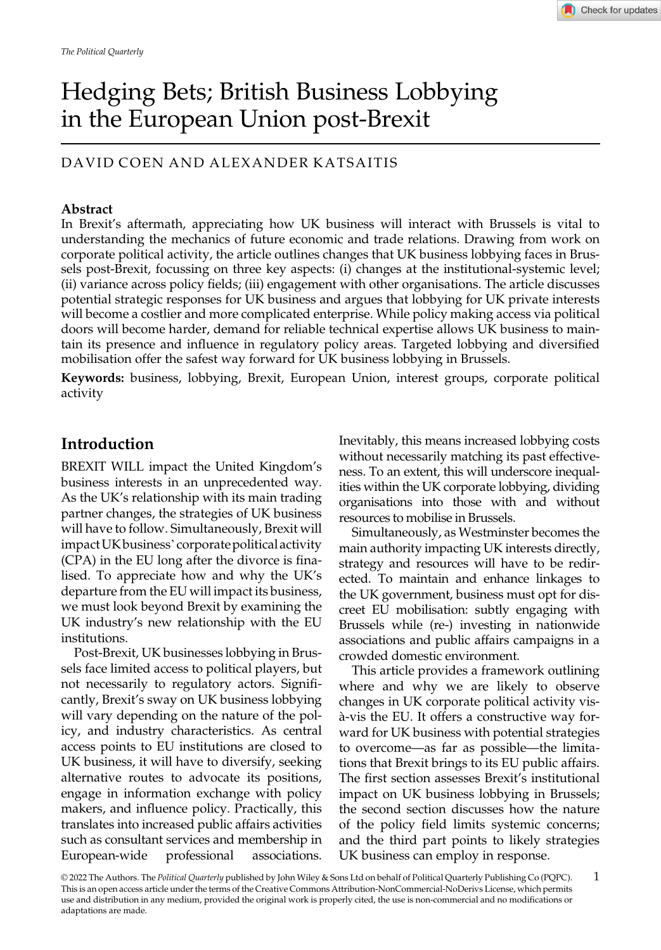# Hedging Bets; British Business Lobbying in the European Union post-Brexit

### DAVID COEN AND ALEXANDER KATSAITIS

#### Abstract

In Brexit's aftermath, appreciating how UK business will interact with Brussels is vital to understanding the mechanics of future economic and trade relations. Drawing from work on corporate political activity, the article outlines changes that UK business lobbying faces in Brussels post-Brexit, focussing on three key aspects: (i) changes at the institutional-systemic level; (ii) variance across policy fields; (iii) engagement with other organisations. The article discusses potential strategic responses for UK business and argues that lobbying for UK private interests will become a costlier and more complicated enterprise. While policy making access via political doors will become harder, demand for reliable technical expertise allows UK business to maintain its presence and influence in regulatory policy areas. Targeted lobbying and diversified mobilisation offer the safest way forward for UK business lobbying in Brussels.

Keywords: business, lobbying, Brexit, European Union, interest groups, corporate political activity

### Introduction

BREXIT WILL impact the United Kingdom's business interests in an unprecedented way. As the UK's relationship with its main trading partner changes, the strategies of UK business will have to follow. Simultaneously, Brexit will impact UK business' corporate political activity (CPA) in the EU long after the divorce is finalised. To appreciate how and why the UK's departure from the EU will impact its business, we must look beyond Brexit by examining the UK industry's new relationship with the EU institutions.

Post-Brexit, UK businesses lobbying in Brussels face limited access to political players, but not necessarily to regulatory actors. Significantly, Brexit's sway on UK business lobbying will vary depending on the nature of the policy, and industry characteristics. As central access points to EU institutions are closed to UK business, it will have to diversify, seeking alternative routes to advocate its positions, engage in information exchange with policy makers, and influence policy. Practically, this translates into increased public affairs activities such as consultant services and membership in European-wide professional associations.

Inevitably, this means increased lobbying costs without necessarily matching its past effectiveness. To an extent, this will underscore inequalities within the UK corporate lobbying, dividing organisations into those with and without resources to mobilise in Brussels.

Simultaneously, as Westminster becomes the main authority impacting UK interests directly, strategy and resources will have to be redirected. To maintain and enhance linkages to the UK government, business must opt for discreet EU mobilisation: subtly engaging with Brussels while (re-) investing in nationwide associations and public affairs campaigns in a crowded domestic environment.

This article provides a framework outlining where and why we are likely to observe changes in UK corporate political activity visà-vis the EU. It offers a constructive way forward for UK business with potential strategies to overcome—as far as possible—the limitations that Brexit brings to its EU public affairs. The first section assesses Brexit's institutional impact on UK business lobbying in Brussels; the second section discusses how the nature of the policy field limits systemic concerns; and the third part points to likely strategies UK business can employ in response.

© 2022 The Authors. The Political Quarterly published by John Wiley & Sons Ltd on behalf of Political Quarterly Publishing Co (PQPC). This is an open access article under the terms of the [Creative Commons Attribution-NonCommercial-NoDerivs](http://creativecommons.org/licenses/by-nc-nd/4.0/) License, which permits use and distribution in any medium, provided the original work is properly cited, the use is non-commercial and no modifications or adaptations are made. 1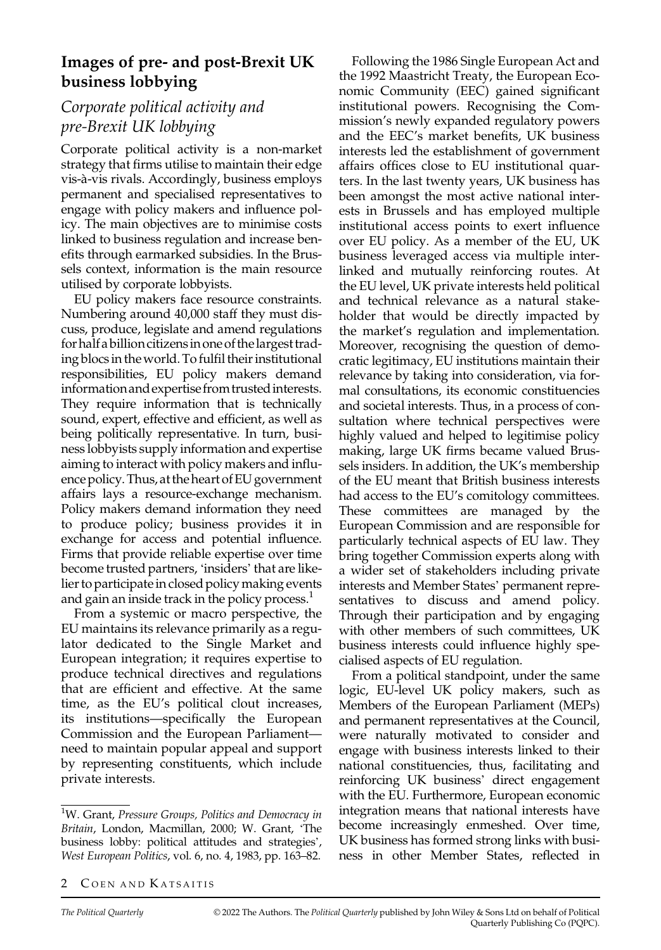# Images of pre- and post-Brexit UK business lobbying

# Corporate political activity and pre-Brexit UK lobbying

Corporate political activity is a non-market strategy that firms utilise to maintain their edge vis-à-vis rivals. Accordingly, business employs permanent and specialised representatives to engage with policy makers and influence policy. The main objectives are to minimise costs linked to business regulation and increase benefits through earmarked subsidies. In the Brussels context, information is the main resource utilised by corporate lobbyists.

EU policy makers face resource constraints. Numbering around 40,000 staff they must discuss, produce, legislate and amend regulations for half a billion citizensin one of thelargest trading blocs in the world. To fulfil their institutional responsibilities, EU policy makers demand information and expertise from trusted interests. They require information that is technically sound, expert, effective and efficient, as well as being politically representative. In turn, business lobbyists supply information and expertise aiming to interact with policy makers and influence policy. Thus, at the heart of EU government affairs lays a resource-exchange mechanism. Policy makers demand information they need to produce policy; business provides it in exchange for access and potential influence. Firms that provide reliable expertise over time become trusted partners, 'insiders' that are likelier to participate in closed policy making events and gain an inside track in the policy process. $<sup>1</sup>$ </sup>

From a systemic or macro perspective, the EU maintains its relevance primarily as a regulator dedicated to the Single Market and European integration; it requires expertise to produce technical directives and regulations that are efficient and effective. At the same time, as the EU's political clout increases, its institutions—specifically the European Commission and the European Parliament need to maintain popular appeal and support by representing constituents, which include private interests.

Following the 1986 Single European Act and the 1992 Maastricht Treaty, the European Economic Community (EEC) gained significant institutional powers. Recognising the Commission's newly expanded regulatory powers and the EEC's market benefits, UK business interests led the establishment of government affairs offices close to EU institutional quarters. In the last twenty years, UK business has been amongst the most active national interests in Brussels and has employed multiple institutional access points to exert influence over EU policy. As a member of the EU, UK business leveraged access via multiple interlinked and mutually reinforcing routes. At the EU level, UK private interests held political and technical relevance as a natural stakeholder that would be directly impacted by the market's regulation and implementation. Moreover, recognising the question of democratic legitimacy, EU institutions maintain their relevance by taking into consideration, via formal consultations, its economic constituencies and societal interests. Thus, in a process of consultation where technical perspectives were highly valued and helped to legitimise policy making, large UK firms became valued Brussels insiders. In addition, the UK's membership of the EU meant that British business interests had access to the EU's comitology committees. These committees are managed by the European Commission and are responsible for particularly technical aspects of EU law. They bring together Commission experts along with a wider set of stakeholders including private interests and Member States' permanent representatives to discuss and amend policy. Through their participation and by engaging with other members of such committees, UK business interests could influence highly specialised aspects of EU regulation.

From a political standpoint, under the same logic, EU-level UK policy makers, such as Members of the European Parliament (MEPs) and permanent representatives at the Council, were naturally motivated to consider and engage with business interests linked to their national constituencies, thus, facilitating and reinforcing UK business' direct engagement with the EU. Furthermore, European economic integration means that national interests have become increasingly enmeshed. Over time, UK business has formed strong links with business in other Member States, reflected in

<sup>&</sup>lt;sup>1</sup>W. Grant, Pressure Groups, Politics and Democracy in Britain, London, Macmillan, 2000; W. Grant, 'The business lobby: political attitudes and strategies', West European Politics, vol. 6, no. 4, 1983, pp. 163–82.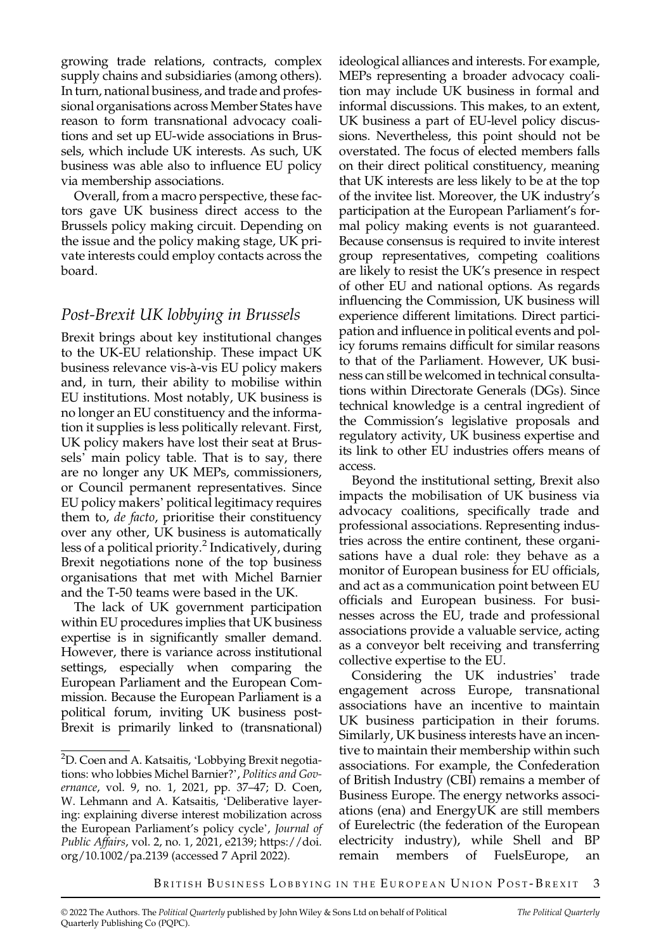growing trade relations, contracts, complex supply chains and subsidiaries (among others). In turn, national business, and trade and professional organisations across Member States have reason to form transnational advocacy coalitions and set up EU-wide associations in Brussels, which include UK interests. As such, UK business was able also to influence EU policy via membership associations.

Overall, from a macro perspective, these factors gave UK business direct access to the Brussels policy making circuit. Depending on the issue and the policy making stage, UK private interests could employ contacts across the board.

# Post-Brexit UK lobbying in Brussels

Brexit brings about key institutional changes to the UK-EU relationship. These impact UK business relevance vis-à-vis EU policy makers and, in turn, their ability to mobilise within EU institutions. Most notably, UK business is no longer an EU constituency and the information it supplies is less politically relevant. First, UK policy makers have lost their seat at Brussels' main policy table. That is to say, there are no longer any UK MEPs, commissioners, or Council permanent representatives. Since EU policy makers' political legitimacy requires them to, de facto, prioritise their constituency over any other, UK business is automatically less of a political priority.<sup>2</sup> Indicatively, during Brexit negotiations none of the top business organisations that met with Michel Barnier and the T-50 teams were based in the UK.

The lack of UK government participation within EU procedures implies that UK business expertise is in significantly smaller demand. However, there is variance across institutional settings, especially when comparing the European Parliament and the European Commission. Because the European Parliament is a political forum, inviting UK business post-Brexit is primarily linked to (transnational) ideological alliances and interests. For example, MEPs representing a broader advocacy coalition may include UK business in formal and informal discussions. This makes, to an extent, UK business a part of EU-level policy discussions. Nevertheless, this point should not be overstated. The focus of elected members falls on their direct political constituency, meaning that UK interests are less likely to be at the top of the invitee list. Moreover, the UK industry's participation at the European Parliament's formal policy making events is not guaranteed. Because consensus is required to invite interest group representatives, competing coalitions are likely to resist the UK's presence in respect of other EU and national options. As regards influencing the Commission, UK business will experience different limitations. Direct participation and influence in political events and policy forums remains difficult for similar reasons to that of the Parliament. However, UK business can still be welcomed in technical consultations within Directorate Generals (DGs). Since technical knowledge is a central ingredient of the Commission's legislative proposals and regulatory activity, UK business expertise and its link to other EU industries offers means of access.

Beyond the institutional setting, Brexit also impacts the mobilisation of UK business via advocacy coalitions, specifically trade and professional associations. Representing industries across the entire continent, these organisations have a dual role: they behave as a monitor of European business for EU officials, and act as a communication point between EU officials and European business. For businesses across the EU, trade and professional associations provide a valuable service, acting as a conveyor belt receiving and transferring collective expertise to the EU.

Considering the UK industries' trade engagement across Europe, transnational associations have an incentive to maintain UK business participation in their forums. Similarly, UK business interests have an incentive to maintain their membership within such associations. For example, the Confederation of British Industry (CBI) remains a member of Business Europe. The energy networks associations (ena) and EnergyUK are still members of Eurelectric (the federation of the European electricity industry), while Shell and BP remain members of FuelsEurope, an

BRITISH BUSINESS LOBBYING IN THE EUROPEAN UNION POST-BREXIT 3

<sup>&</sup>lt;sup>2</sup>D. Coen and A. Katsaitis, 'Lobbying Brexit negotiations: who lobbies Michel Barnier?', Politics and Governance, vol. 9, no. 1, 2021, pp. 37–47; D. Coen, W. Lehmann and A. Katsaitis, 'Deliberative layering: explaining diverse interest mobilization across the European Parliament's policy cycle', Journal of Public Affairs, vol. 2, no. 1, 2021, e2139; [https://doi.](https://doi.org/10.1002/pa.2139) [org/10.1002/pa.2139](https://doi.org/10.1002/pa.2139) (accessed 7 April 2022).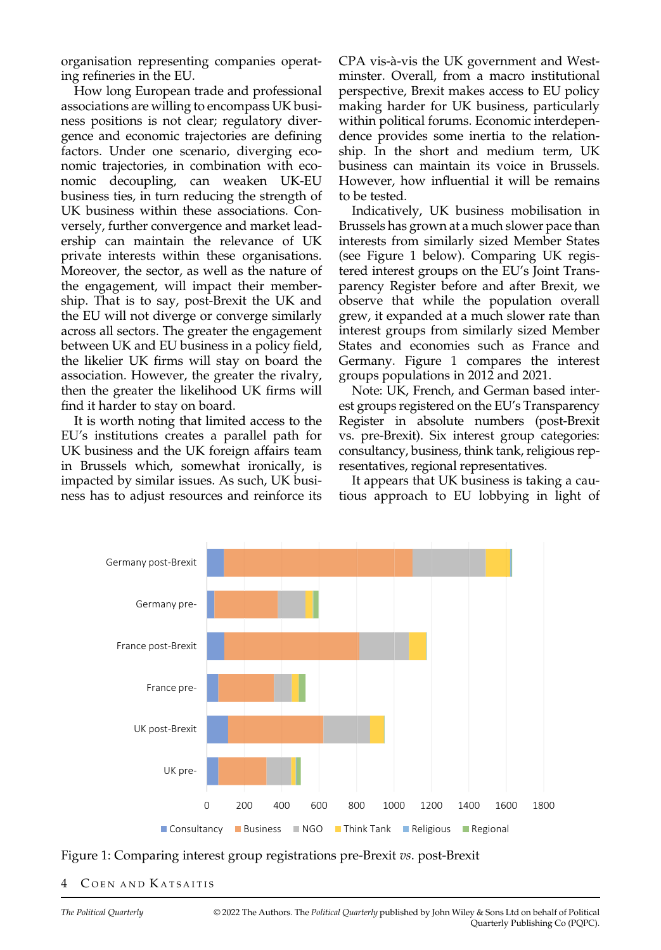organisation representing companies operating refineries in the EU.

How long European trade and professional associations are willing to encompass UK business positions is not clear; regulatory divergence and economic trajectories are defining factors. Under one scenario, diverging economic trajectories, in combination with economic decoupling, can weaken UK-EU business ties, in turn reducing the strength of UK business within these associations. Conversely, further convergence and market leadership can maintain the relevance of UK private interests within these organisations. Moreover, the sector, as well as the nature of the engagement, will impact their membership. That is to say, post-Brexit the UK and the EU will not diverge or converge similarly across all sectors. The greater the engagement between UK and EU business in a policy field, the likelier UK firms will stay on board the association. However, the greater the rivalry, then the greater the likelihood UK firms will find it harder to stay on board.

It is worth noting that limited access to the EU's institutions creates a parallel path for UK business and the UK foreign affairs team in Brussels which, somewhat ironically, is impacted by similar issues. As such, UK business has to adjust resources and reinforce its CPA vis-à-vis the UK government and Westminster. Overall, from a macro institutional perspective, Brexit makes access to EU policy making harder for UK business, particularly within political forums. Economic interdependence provides some inertia to the relationship. In the short and medium term, UK business can maintain its voice in Brussels. However, how influential it will be remains to be tested.

Indicatively, UK business mobilisation in Brussels has grown at a much slower pace than interests from similarly sized Member States (see Figure 1 below). Comparing UK registered interest groups on the EU's Joint Transparency Register before and after Brexit, we observe that while the population overall grew, it expanded at a much slower rate than interest groups from similarly sized Member States and economies such as France and Germany. Figure 1 compares the interest groups populations in 2012 and 2021.

Note: UK, French, and German based interest groups registered on the EU's Transparency Register in absolute numbers (post-Brexit vs. pre-Brexit). Six interest group categories: consultancy, business, think tank, religious representatives, regional representatives.

It appears that UK business is taking a cautious approach to EU lobbying in light of



Figure 1: Comparing interest group registrations pre-Brexit vs. post-Brexit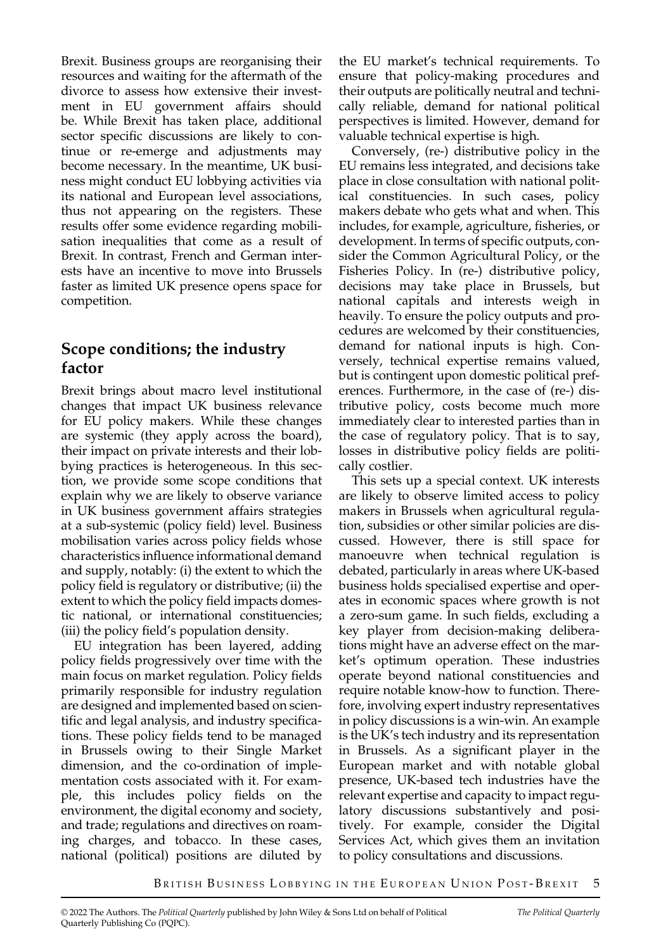Brexit. Business groups are reorganising their resources and waiting for the aftermath of the divorce to assess how extensive their investment in EU government affairs should be. While Brexit has taken place, additional sector specific discussions are likely to continue or re-emerge and adjustments may become necessary. In the meantime, UK business might conduct EU lobbying activities via its national and European level associations, thus not appearing on the registers. These results offer some evidence regarding mobilisation inequalities that come as a result of Brexit. In contrast, French and German interests have an incentive to move into Brussels faster as limited UK presence opens space for competition.

# Scope conditions; the industry factor

Brexit brings about macro level institutional changes that impact UK business relevance for EU policy makers. While these changes are systemic (they apply across the board), their impact on private interests and their lobbying practices is heterogeneous. In this section, we provide some scope conditions that explain why we are likely to observe variance in UK business government affairs strategies at a sub-systemic (policy field) level. Business mobilisation varies across policy fields whose characteristics influence informational demand and supply, notably: (i) the extent to which the policy field is regulatory or distributive; (ii) the extent to which the policy field impacts domestic national, or international constituencies; (iii) the policy field's population density.

EU integration has been layered, adding policy fields progressively over time with the main focus on market regulation. Policy fields primarily responsible for industry regulation are designed and implemented based on scientific and legal analysis, and industry specifications. These policy fields tend to be managed in Brussels owing to their Single Market dimension, and the co-ordination of implementation costs associated with it. For example, this includes policy fields on the environment, the digital economy and society, and trade; regulations and directives on roaming charges, and tobacco. In these cases, national (political) positions are diluted by

the EU market's technical requirements. To ensure that policy-making procedures and their outputs are politically neutral and technically reliable, demand for national political perspectives is limited. However, demand for valuable technical expertise is high.

Conversely, (re-) distributive policy in the EU remains less integrated, and decisions take place in close consultation with national political constituencies. In such cases, policy makers debate who gets what and when. This includes, for example, agriculture, fisheries, or development. In terms of specific outputs, consider the Common Agricultural Policy, or the Fisheries Policy. In (re-) distributive policy, decisions may take place in Brussels, but national capitals and interests weigh in heavily. To ensure the policy outputs and procedures are welcomed by their constituencies, demand for national inputs is high. Conversely, technical expertise remains valued, but is contingent upon domestic political preferences. Furthermore, in the case of (re-) distributive policy, costs become much more immediately clear to interested parties than in the case of regulatory policy. That is to say, losses in distributive policy fields are politically costlier.

This sets up a special context. UK interests are likely to observe limited access to policy makers in Brussels when agricultural regulation, subsidies or other similar policies are discussed. However, there is still space for manoeuvre when technical regulation is debated, particularly in areas where UK-based business holds specialised expertise and operates in economic spaces where growth is not a zero-sum game. In such fields, excluding a key player from decision-making deliberations might have an adverse effect on the market's optimum operation. These industries operate beyond national constituencies and require notable know-how to function. Therefore, involving expert industry representatives in policy discussions is a win-win. An example is the UK's tech industry and its representation in Brussels. As a significant player in the European market and with notable global presence, UK-based tech industries have the relevant expertise and capacity to impact regulatory discussions substantively and positively. For example, consider the Digital Services Act, which gives them an invitation to policy consultations and discussions.

BRITISH BUSINESS LOBBYING IN THE EUROPEAN UNION POST-BREXIT 5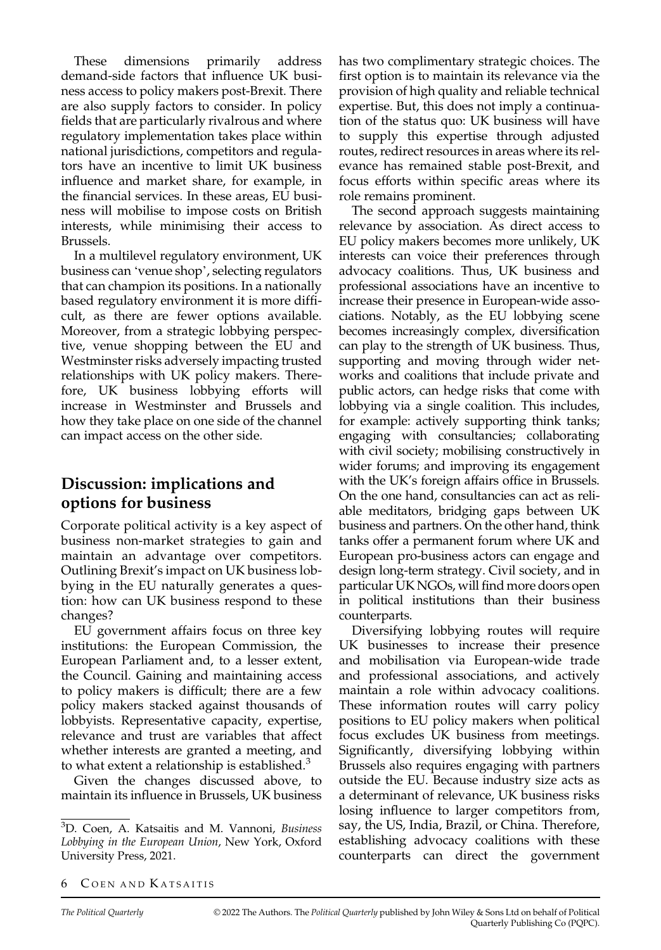These dimensions primarily address demand-side factors that influence UK business access to policy makers post-Brexit. There are also supply factors to consider. In policy fields that are particularly rivalrous and where regulatory implementation takes place within national jurisdictions, competitors and regulators have an incentive to limit UK business influence and market share, for example, in the financial services. In these areas, EU business will mobilise to impose costs on British interests, while minimising their access to Brussels.

In a multilevel regulatory environment, UK business can 'venue shop', selecting regulators that can champion its positions. In a nationally based regulatory environment it is more difficult, as there are fewer options available. Moreover, from a strategic lobbying perspective, venue shopping between the EU and Westminster risks adversely impacting trusted relationships with UK policy makers. Therefore, UK business lobbying efforts will increase in Westminster and Brussels and how they take place on one side of the channel can impact access on the other side.

# Discussion: implications and options for business

Corporate political activity is a key aspect of business non-market strategies to gain and maintain an advantage over competitors. Outlining Brexit's impact on UK business lobbying in the EU naturally generates a question: how can UK business respond to these changes?

EU government affairs focus on three key institutions: the European Commission, the European Parliament and, to a lesser extent, the Council. Gaining and maintaining access to policy makers is difficult; there are a few policy makers stacked against thousands of lobbyists. Representative capacity, expertise, relevance and trust are variables that affect whether interests are granted a meeting, and to what extent a relationship is established. $3$ 

Given the changes discussed above, to maintain its influence in Brussels, UK business has two complimentary strategic choices. The first option is to maintain its relevance via the provision of high quality and reliable technical expertise. But, this does not imply a continuation of the status quo: UK business will have to supply this expertise through adjusted routes, redirect resources in areas where its relevance has remained stable post-Brexit, and focus efforts within specific areas where its role remains prominent.

The second approach suggests maintaining relevance by association. As direct access to EU policy makers becomes more unlikely, UK interests can voice their preferences through advocacy coalitions. Thus, UK business and professional associations have an incentive to increase their presence in European-wide associations. Notably, as the EU lobbying scene becomes increasingly complex, diversification can play to the strength of UK business. Thus, supporting and moving through wider networks and coalitions that include private and public actors, can hedge risks that come with lobbying via a single coalition. This includes, for example: actively supporting think tanks; engaging with consultancies; collaborating with civil society; mobilising constructively in wider forums; and improving its engagement with the UK's foreign affairs office in Brussels. On the one hand, consultancies can act as reliable meditators, bridging gaps between UK business and partners. On the other hand, think tanks offer a permanent forum where UK and European pro-business actors can engage and design long-term strategy. Civil society, and in particular UK NGOs, will find more doors open in political institutions than their business counterparts.

Diversifying lobbying routes will require UK businesses to increase their presence and mobilisation via European-wide trade and professional associations, and actively maintain a role within advocacy coalitions. These information routes will carry policy positions to EU policy makers when political focus excludes UK business from meetings. Significantly, diversifying lobbying within Brussels also requires engaging with partners outside the EU. Because industry size acts as a determinant of relevance, UK business risks losing influence to larger competitors from, say, the US, India, Brazil, or China. Therefore, establishing advocacy coalitions with these counterparts can direct the government

<sup>&</sup>lt;sup>3</sup>D. Coen, A. Katsaitis and M. Vannoni, Business Lobbying in the European Union, New York, Oxford University Press, 2021.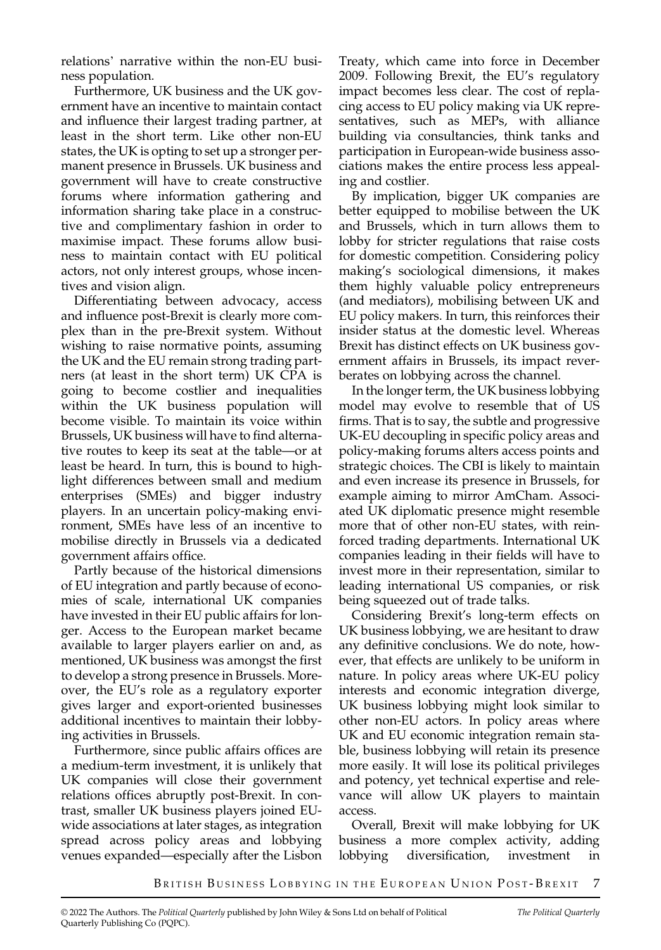relations' narrative within the non-EU business population.

Furthermore, UK business and the UK government have an incentive to maintain contact and influence their largest trading partner, at least in the short term. Like other non-EU states, the UK is opting to set up a stronger permanent presence in Brussels. UK business and government will have to create constructive forums where information gathering and information sharing take place in a constructive and complimentary fashion in order to maximise impact. These forums allow business to maintain contact with EU political actors, not only interest groups, whose incentives and vision align.

Differentiating between advocacy, access and influence post-Brexit is clearly more complex than in the pre-Brexit system. Without wishing to raise normative points, assuming the UK and the EU remain strong trading partners (at least in the short term) UK CPA is going to become costlier and inequalities within the UK business population will become visible. To maintain its voice within Brussels, UK business will have to find alternative routes to keep its seat at the table—or at least be heard. In turn, this is bound to highlight differences between small and medium enterprises (SMEs) and bigger industry players. In an uncertain policy-making environment, SMEs have less of an incentive to mobilise directly in Brussels via a dedicated government affairs office.

Partly because of the historical dimensions of EU integration and partly because of economies of scale, international UK companies have invested in their EU public affairs for longer. Access to the European market became available to larger players earlier on and, as mentioned, UK business was amongst the first to develop a strong presence in Brussels. Moreover, the EU's role as a regulatory exporter gives larger and export-oriented businesses additional incentives to maintain their lobbying activities in Brussels.

Furthermore, since public affairs offices are a medium-term investment, it is unlikely that UK companies will close their government relations offices abruptly post-Brexit. In contrast, smaller UK business players joined EUwide associations at later stages, as integration spread across policy areas and lobbying venues expanded—especially after the Lisbon

Treaty, which came into force in December 2009. Following Brexit, the EU's regulatory impact becomes less clear. The cost of replacing access to EU policy making via UK representatives, such as MEPs, with alliance building via consultancies, think tanks and participation in European-wide business associations makes the entire process less appealing and costlier.

By implication, bigger UK companies are better equipped to mobilise between the UK and Brussels, which in turn allows them to lobby for stricter regulations that raise costs for domestic competition. Considering policy making's sociological dimensions, it makes them highly valuable policy entrepreneurs (and mediators), mobilising between UK and EU policy makers. In turn, this reinforces their insider status at the domestic level. Whereas Brexit has distinct effects on UK business government affairs in Brussels, its impact reverberates on lobbying across the channel.

In the longer term, the UK business lobbying model may evolve to resemble that of US firms. That is to say, the subtle and progressive UK-EU decoupling in specific policy areas and policy-making forums alters access points and strategic choices. The CBI is likely to maintain and even increase its presence in Brussels, for example aiming to mirror AmCham. Associated UK diplomatic presence might resemble more that of other non-EU states, with reinforced trading departments. International UK companies leading in their fields will have to invest more in their representation, similar to leading international US companies, or risk being squeezed out of trade talks.

Considering Brexit's long-term effects on UK business lobbying, we are hesitant to draw any definitive conclusions. We do note, however, that effects are unlikely to be uniform in nature. In policy areas where UK-EU policy interests and economic integration diverge, UK business lobbying might look similar to other non-EU actors. In policy areas where UK and EU economic integration remain stable, business lobbying will retain its presence more easily. It will lose its political privileges and potency, yet technical expertise and relevance will allow UK players to maintain access.

Overall, Brexit will make lobbying for UK business a more complex activity, adding lobbying diversification, investment in

BRITISH BUSINESS LOBBYING IN THE EUROPEAN UNION POST-BREXIT 7